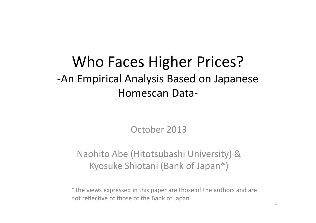#### Who Faces Higher Prices? ‐An Empirical Analysis Based on Japanese Homescan Data‐

October 2013

#### Naohito Abe (Hitotsubashi University) & Kyosuke Shiotani (Bank of Japan\*)

\*The views expressed in this paper are those of the authors and are not reflective of those of the Bank of Japan.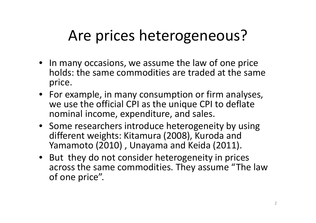## Are prices heterogeneous?

- In many occasions, we assume the law of one price holds: the same commodities are traded at the same price.
- For example, in many consumption or firm analyses, we use the official CPI as the unique CPI to deflate nominal income, expenditure, and sales.
- Some researchers introduce heterogeneity by using different weights: Kitamura (2008), Kuroda and Yamamoto (2010) , Unayama and Keida (2011).
- But they do not consider heterogeneity in prices across the same commodities. They assume "The law of one price".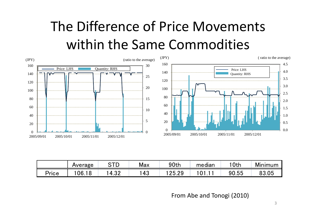## The Difference of Price Movements within the Same Commodities



|          | Average            | n Tr<br>┕ | Max | 90th        | <br>median | '0th  | Minimum |
|----------|--------------------|-----------|-----|-------------|------------|-------|---------|
| $P$ rice | 06.<br>$\mathbf C$ | ററ<br>∴∪∠ | 43  | りに<br>25.29 | ີ          | 90.55 | 83.05   |

From Abe and Tonogi (2010)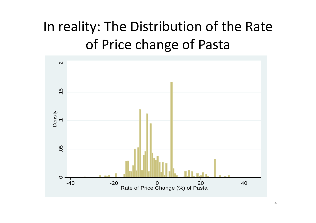## In reality: The Distribution of the Rate of Price change of Pasta

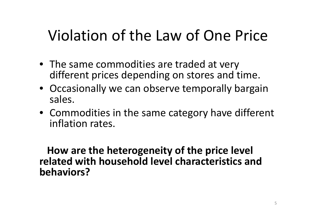## Violation of the Law of One Price

- The same commodities are traded at very different prices depending on stores and time.
- Occasionally we can observe temporally bargain sales.
- Commodities in the same category have different inflation rates.

**How are the heterogeneity of the price level related with household level characteristics and behaviors?**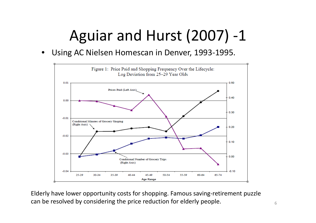# Aguiar and Hurst (2007) ‐1

•Using AC Nielsen Homescan in Denver, 1993‐1995.



Elderly have lower opportunity costs for shopping. Famous saving‐retirement puzzle can be resolved by considering the price reduction for elderly people.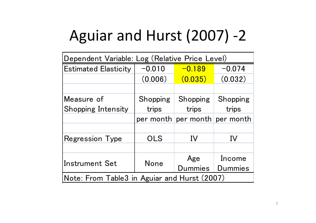# Aguiar and Hurst (2007) ‐2

| Dependent Variable: Log (Relative Price Level) |            |                 |                     |  |  |  |  |
|------------------------------------------------|------------|-----------------|---------------------|--|--|--|--|
| <b>Estimated Elasticity</b>                    | $-0.010$   | $-0.189$        | $-0.074$            |  |  |  |  |
|                                                | (0.006)    | (0.035)         | (0.032)             |  |  |  |  |
|                                                |            |                 |                     |  |  |  |  |
| Measure of                                     | Shopping   | <b>Shopping</b> | Shopping            |  |  |  |  |
| <b>Shopping Intensity</b>                      | trips      | trips           | trips               |  |  |  |  |
|                                                | per month  |                 | per month per month |  |  |  |  |
|                                                |            |                 |                     |  |  |  |  |
| <b>Regression Type</b>                         | <b>OLS</b> | IV              | IV                  |  |  |  |  |
|                                                |            |                 |                     |  |  |  |  |
|                                                |            | Age             | Income              |  |  |  |  |
| <b>Instrument Set</b>                          | None       | <b>Dummies</b>  | Dummies             |  |  |  |  |
| Note: From Table3 in Aguiar and Hurst (2007)   |            |                 |                     |  |  |  |  |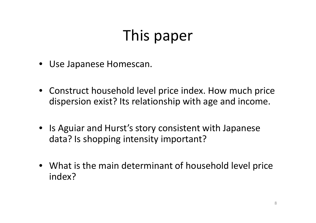# This paper

- Use Japanese Homescan.
- Construct household level price index. How much price dispersion exist? Its relationship with age and income.
- Is Aguiar and Hurst's story consistent with Japanese data? Is shopping intensity important?
- What is the main determinant of household level price index?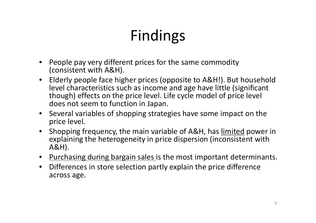# Findings

- • People pay very different prices for the same commodity (consistent with A&H).
- $\bullet$  Elderly people face higher prices (opposite to A&H!). But household level characteristics such as income and age have little (significant though) effects on the price level. Life cycle model of price level does not seem to function in Japan.
- Several variables of shopping strategies have some impact on the price level.
- Shopping frequency, the main variable of A&H, has limited power in explaining the heterogeneity in price dispersion (inconsistent with A&H).
- Purchasing during bargain sales is the most important determinants.
- Differences in store selection partly explain the price difference across age.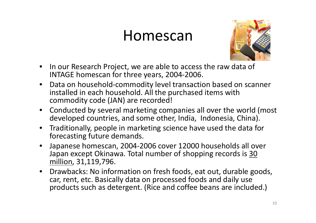#### Homescan



- $\bullet$ • In our Research Project, we are able to access the raw data of INTAGE homescan for three years, 2004‐2006.
- $\bullet$  Data on household‐commodity level transaction based on scanner installed in each household. All the purchased items with commodity code (JAN) are recorded!
- Conducted by several marketing companies all over the world (most developed countries, and some other, India, Indonesia, China).
- $\bullet$  Traditionally, people in marketing science have used the data for forecasting future demands.
- $\bullet$  Japanese homescan, 2004‐2006 cover 12000 households all over Japan except Okinawa. Total number of shopping records is 30 million, 31,119,796.
- Drawbacks: No information on fresh foods, eat out, durable goods, car, rent, etc. Basically data on processed foods and daily use products such as detergent. (Rice and coffee beans are included.)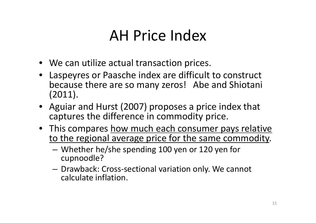## AH Price Index

- We can utilize actual transaction prices.
- Laspeyres or Paasche index are difficult to construct because there are so many zeros! Abe and Shiotani (2011).
- Aguiar and Hurst (2007) proposes <sup>a</sup> price index that captures the difference in commodity price.
- This compares how much each consumer pays relative to the regional average price for the same commodity.
	- Whether he/she spending 100 yen or 120 yen for cupnoodle?
	- $-$  Drawback: Cross-sectional variation only. We cannot calculate inflation.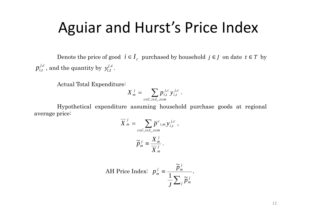#### Aguiar and Hurst's Price Index

Denote the price of good  $i \in I_c$  purchased by household  $j \in J$  on date  $t \in T$  by  $p_{i,t}^{j,c}$ , and the quantity by  $y_{i,t}^{j,c}$ .

Actual Total Expenditure:

$$
X_{m}^{j} = \sum_{c \in C, i \in I_{c}, t \in m} p_{i,t}^{j,c} y_{i,t}^{j,c}.
$$

 Hypothetical expenditure assuming household purchase goods at regional average price:

$$
\overline{X}^j{}_m = \sum_{c \in C, i \in I_c, t \in m} \overline{p}^c{}_{i,m} y^{j,c}_{i,t} ,
$$

$$
\widetilde{p}^j{}_m \equiv \frac{X^j{}_m}{\overline{X}^j{}_m} .
$$

AH Price Index: 
$$
p_m^j = \frac{\tilde{p}_m^j}{\frac{1}{J} \sum_j \tilde{p}_m^j}
$$
.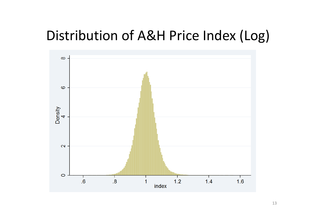#### Distribution of A&H Price Index (Log)

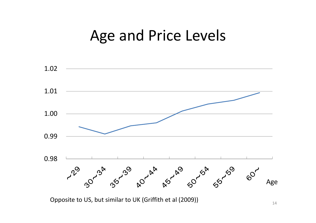#### Age and Price Levels



Opposite to US, but similar to UK (Griffith et al (2009))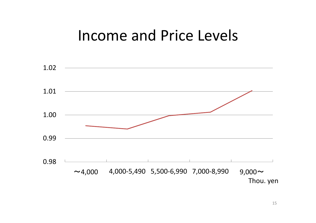#### Income and Price Levels

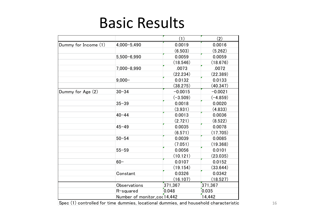#### Basic Results

|                      |                             | (1)        | (2)        |
|----------------------|-----------------------------|------------|------------|
| Dummy for Income (1) | $4,000 - 5,490$             | 0.0019     | 0.0016     |
|                      |                             | (6.503)    | (5.262)    |
|                      | $5,500 - 6,990$             | 0.0059     | 0.0059     |
|                      |                             | (18.546)   | (18.676)   |
|                      | $7,000 - 8,990$             | .0073      | .0072      |
|                      |                             | (22.234)   | (22.389)   |
|                      | $9,000 -$                   | 0.0132     | 0.0133     |
|                      |                             | (38.275)   | (40.347)   |
| Dummy for Age (2)    | $30 - 34$                   | $-0.0015$  | $-0.0021$  |
|                      |                             | $(-3.509)$ | $(-4.859)$ |
|                      | $35 - 39$                   | 0.0018     | 0.0020     |
|                      |                             | (3.931)    | (4.833)    |
|                      | $40 - 44$                   | 0.0013     | 0.0036     |
|                      |                             | (2.721)    | (8.522)    |
|                      | $45 - 49$                   | 0.0035     | 0.0078     |
|                      |                             | (6.571)    | (17.705)   |
|                      | $50 - 54$                   | 0.0039     | 0.0085     |
|                      |                             | (7.051)    | (19.368)   |
|                      | $55 - 59$                   | 0.0056     | 0.0101     |
|                      |                             | (10.121)   | (23.035)   |
|                      | $60 -$                      | 0.0107     | 0.0152     |
|                      |                             | (19.154)   | (33.644)   |
|                      | Constant                    | 0.0326     | 0.0342     |
|                      |                             | (16.107)   | (18.527)   |
|                      | <b>Observations</b>         | 371,367    | 371,367    |
|                      | R-squared                   | 0.048      | 0.035      |
|                      | Number of monitor_co(14,442 |            | 14,442     |

Spec (1) controlled for time dummies, locational dummies, and household characteristic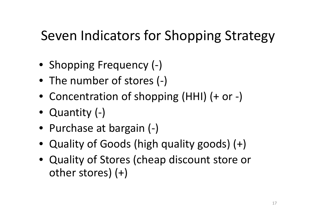#### Seven Indicators for Shopping Strategy

- Shopping Frequency (-)
- The number of stores (‐)
- Concentration of shopping (HHI) (+ or ‐)
- Quantity (-)
- Purchase at bargain (‐)
- Quality of Goods (high quality goods) (+)
- Quality of Stores (cheap discount store or other stores) (+)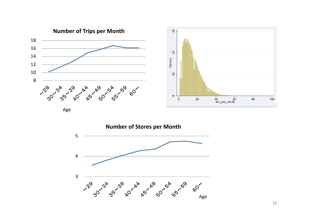

Age

4

5



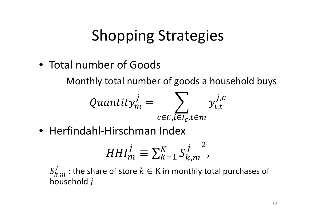• Total number of Goods

Monthly total number of goods <sup>a</sup> household buys

$$
Quantity_m^j = \sum_{c \in C, i \in I_c, t \in m} y_{i,t}^{j,c}
$$

• Herfindahl‐Hirschman Index

$$
HHI_m^j \equiv \sum_{k=1}^K S_{k,m}^j^2,
$$

 $S_{k,m}^J$ : the share of store  $k \in K$  in monthly total purchases of household  $j$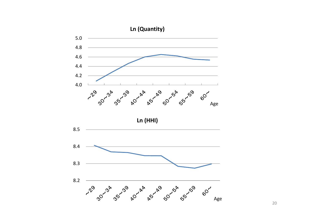

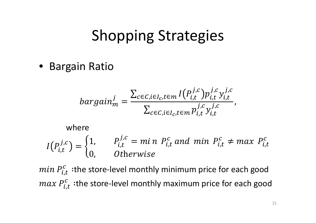• Bargain Ratio

$$
bargain_m^j = \frac{\sum_{c \in C, i \in I_c, t \in m} I(P_{i,t}^{j,c}) p_{i,t}^{j,c} y_{i,t}^{j,c}}{\sum_{c \in C, i \in I_c, t \in m} p_{i,t}^{j,c} y_{i,t}^{j,c}},
$$

#### where  $\boldsymbol{I}$  $I(P_{i,t}^{j,c}) = \begin{cases} 1, & P_{i,t}^{j,c} = mi \ n \ P_{i,t}^c \ and & min \ P_{i,t}^c \neq max \ P_{i,t}^c \ 0, & Otherwise \end{cases}$

*min*  $P_{i,t}^c$  : the store-level monthly minimum price for each good  $max P_{i,t}^{c}$  :the store-level monthly maximum price for each good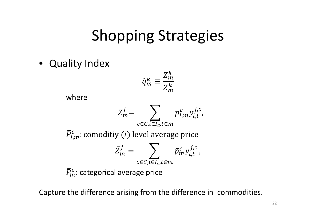• Quality Index

$$
\tilde{q}_m^k \equiv \frac{\bar{Z}_m^k}{Z_m^k}
$$

where

$$
Z_m^j = \sum_{c \in C, i \in I_c, t \in m} \bar{p}_{i,m}^c y_{i,t}^{j,c},
$$

 $\pmb{P}$ ത $\lceil$  i,m  $\frac{c}{d_{1,m}}$ : comoditiy  $(i)$  level average price

$$
\bar{Z}_m^j = \sum_{c \in C, \overline{i \in I_c}, t \in m} \bar{p}_m^c y_{i,t}^{j,c},
$$

 $P_{\scriptscriptstyle 3}$ '  $\boldsymbol{m}$  $\frac{c}{n}$ : categorical average price

Capture the difference arising from the difference in commodities.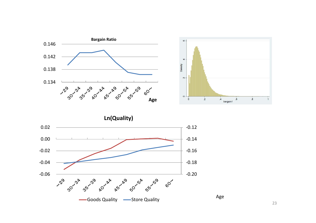



23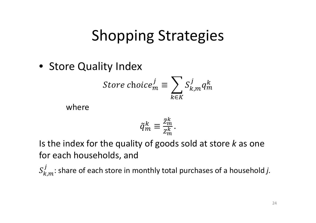• Store Quality Index

*Store choice*<sub>m</sub><sup>*j*</sup> 
$$
\equiv \sum_{k \in K} S_{k,m}^j q_m^k
$$

where

$$
\tilde{q}_m^k \equiv \frac{\bar{z}_m^k}{z_m^k}.
$$

Is the index for the quality of goods sold at store *k* as one for each households, and

 $S_{k,m}^j$ : share of each store in monthly total purchases of a household *j*.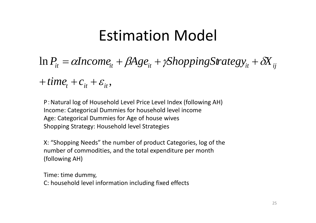#### Estimation Model

 $\ln P_{it} = \alpha$ Income $_{it} + \beta$ Age $_{it} + \gamma$ ShoppingStrateg $y_{it} + \delta$ X $_{ij}$  $P_{it} = \alpha$ *Income*<sub>it</sub> +  $\beta$ Age<sub>it</sub> +  $\gamma$ ShoppingStrategy<sub>it</sub> +  $\delta$ X  $= \alpha$ Income,  $+ \beta$ Age,  $+ \gamma$ ShoppingStrategy,  $+$ 

 $+$ *time*<sub>t</sub> $+$ *c*<sub>it</sub> $+$ *c*<sub>it</sub> $,$ 

P:Natural log of Household Level Price Level Index (following AH) Income: Categorical Dummies for household level income Age: Categorical Dummies for Age of house wives Shopping Strategy: Household level Strategies

X: "Shopping Needs" the number of product Categories, log of the number of commodities, and the total expenditure per month (following AH)

Time: time dummy, C: household level information including fixed effects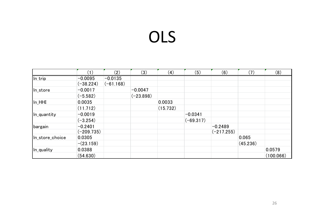# OLS

|                 | $\mathbf{1}$ | (2)         | (3)         | $\left( 4\right)$ | (5)         | (6)          | (7)      | (8)       |
|-----------------|--------------|-------------|-------------|-------------------|-------------|--------------|----------|-----------|
| In_trip         | $-0.0095$    | $-0.0135$   |             |                   |             |              |          |           |
|                 | $(-38.224)$  | $(-61.168)$ |             |                   |             |              |          |           |
| In_store        | $-0.0017$    |             | $-0.0047$   |                   |             |              |          |           |
|                 | $(-5.582)$   |             | $(-23.898)$ |                   |             |              |          |           |
| In_HHI          | 0.0035       |             |             | 0.0033            |             |              |          |           |
|                 | (11.712)     |             |             | (15.732)          |             |              |          |           |
| In_quantity     | $-0.0019$    |             |             |                   | $-0.0341$   |              |          |           |
|                 | $(-3.254)$   |             |             |                   | $(-69.317)$ |              |          |           |
| bargain         | $-0.2401$    |             |             |                   |             | $-0.2489$    |          |           |
|                 | $(-209.735)$ |             |             |                   |             | $(-217.255)$ |          |           |
| In_store_choice | 0.0305       |             |             |                   |             |              | 0.065    |           |
|                 | $-(23.159)$  |             |             |                   |             |              | (45.236) |           |
| In_quality      | 0.0388       |             |             |                   |             |              |          | 0.0579    |
|                 | (54.630)     |             |             |                   |             |              |          | (100.066) |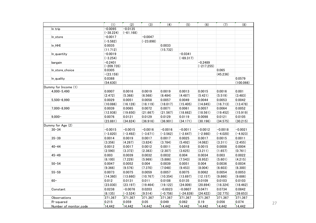|                        | (1)          | (2)         | (3)         | (4)        | (5)         | (6)          | (7)        | (8)        |
|------------------------|--------------|-------------|-------------|------------|-------------|--------------|------------|------------|
| In trip                | $-0.0095$    | $-0.0135$   |             |            |             |              |            |            |
|                        | $(-38.224)$  | $(-61.168)$ |             |            |             |              |            |            |
| In_store               | $-0.0017$    |             | $-0.0047$   |            |             |              |            |            |
|                        | $(-5.582)$   |             | $(-23.898)$ |            |             |              |            |            |
| $In_HHH$               | 0.0035       |             |             | 0.0033     |             |              |            |            |
|                        | (11.712)     |             |             | (15.732)   |             |              |            |            |
| In_quantity            | $-0.0019$    |             |             |            | $-0.0341$   |              |            |            |
|                        | $(-3.254)$   |             |             |            | $(-69.317)$ |              |            |            |
| bargain                | $-0.2401$    |             |             |            |             | $-0.2489$    |            |            |
|                        | $(-209.735)$ |             |             |            |             | $(-217.255)$ |            |            |
| In_store_choice        | 0.0305       |             |             |            |             |              | 0.065      |            |
|                        | $-(23.159)$  |             |             |            |             |              | (45.236)   |            |
| In_quality             | 0.0388       |             |             |            |             |              |            | 0.0579     |
|                        | (54.630)     |             |             |            |             |              |            | (100.066)  |
| Dummy for Income (1)   |              |             |             |            |             |              |            |            |
| 4,000-5,490            | 0.0007       | 0.0016      | 0.0019      | 0.0019     | 0.0013      | 0.0015       | 0.0016     | 0.001      |
|                        | (2.472)      | (5.368)     | (6.568)     | (6.484)    | (4.487)     | (5.421)      | (5.519)    | (3.483)    |
| $5,500 - 6,990$        | 0.0029       | 0.0051      | 0.0058      | 0.0057     | 0.0049      | 0.0044       | 0.0053     | 0.0042     |
|                        | (10.086)     | (16.128)    | (18.119)    | (18.017)   | (15.405)    | (14.845)     | (16.713)   | (13.478)   |
| 7,000-8,990            | 0.0039       | 0.0065      | 0.0072      | 0.0071     | 0.0061      | 0.0057       | 0.0064     | 0.0052     |
|                        | (12.938)     | (19.650)    | (21.667)    | (21.567)   | (18.662)    | (18.561)     | (19.452)   | (15.919)   |
| $9,000 -$              | 0.0076       | 0.0121      | 0.0129      | 0.0129     | 0.0119      | 0.0098       | 0.0121     | 0.0105     |
|                        | (23.881)     | (34.824)    | (36.916)    | (36.901)   | (34.171)    | (30.196)     | (34.575)   | (30.215)   |
| Dummy for Age (2)      |              |             |             |            |             |              |            |            |
| $30 - 34$              | $-0.0015$    | $-0.0015$   | $-0.0016$   | $-0.0016$  | $-0.0011$   | $-0.0012$    | $-0.0018$  | $-0.0021$  |
|                        | $(-3.820)$   | $(-3.492)$  | $(-3.671)$  | $(-3.562)$ | $(-2.647)$  | $(-2.980)$   | $(-4.020)$ | $(-4.923)$ |
| $35 - 39$              | 0.0014       | 0.0019      | 0.0017      | 0.0017     | 0.0025      | 0.0017       | 0.0015     | 0.0011     |
|                        | (3.356)      | (4.267)     | (3.824)     | (3.784)    | (5.492)     | (4.082)      | (3.311)    | (2.455)    |
| $40 - 44$              | 0.0012       | 0.0017      | 0.0012      | 0.0011     | 0.0018      | 0.0015       | 0.0008     | 0.0004     |
|                        | (2.590)      | (3.372)     | (2.383)     | (2.307)    | (3.625)     | (3.211)      | (1.657)    | (0.761)    |
| $45 - 49$              | 0.003        | 0.0039      | 0.0032      | 0.0032     | 0.004       | 0.0034       | 0.003      | 0.0022     |
|                        | (6.100)      | (7.229)     | (5.969)     | (5.886)    | (7.543)     | (6.952)      | (5.601)    | (4.215)    |
| $50 - 54$              | 0.0047       | 0.0052      | 0.004       | 0.0039     | 0.0051      | 0.004        | 0.0036     | 0.0034     |
|                        | (9.366)      | (9.576)     | (7.370)     | (7.048)    | (9.453)     | (8.004)      | (6.603)    | (6.300)    |
| $55 - 59$              | 0.0073       | 0.0075      | 0.0059      | 0.0057     | 0.0075      | 0.0062       | 0.0054     | 0.0053     |
|                        | (14.360)     | (13.660)    | (10.767)    | (10.354)   | (13.697)    | (12.157)     | (9.866)    | (9.686)    |
| $60 -$                 | 0.012        | 0.0131      | 0.011       | 0.0108     | 0.0135      | 0.0109       | 0.0103     | 0.0103     |
|                        | (23.030)     | (23.197)    | (19.464)    | (19.122)   | (24.009)    | (20.894)     | (18.324)   | (18.462)   |
| Constant               | 0.0238       | $-0.0076$   | 0.0203      | $-0.0023$  | $-0.0607$   | 0.0471       | 0.0734     | 0.0842     |
|                        | (6.135)      | $(-3.524)$  | (9.514)     | $(-0.756)$ | $(-24.839)$ | (24.422)     | (32.775)   | (39.653)   |
| Observations           | 371,367      | 371,367     | 371,367     | 371,367    | 371,367     | 371,367      | 371,367    | 371,367    |
| R-squared              | 0.215        | 0.059       | 0.05        | 0.049      | 0.062       | 0.19         | 0.056      | 0.074      |
| Number of monitor_code | 14,442       | 14,442      | 14,442      | 14,442     | 14,442      | 14,442       | 14,442     | 14,442     |

27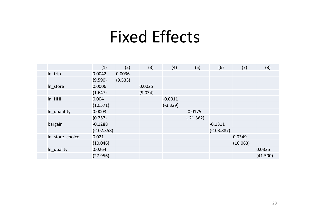## Fixed Effects

|                 | (1)          | (2)     | (3)     | (4)        | (5)         | (6)          | (7)      | (8)      |
|-----------------|--------------|---------|---------|------------|-------------|--------------|----------|----------|
| In_trip         | 0.0042       | 0.0036  |         |            |             |              |          |          |
|                 | (9.590)      | (9.533) |         |            |             |              |          |          |
| In_store        | 0.0006       |         | 0.0025  |            |             |              |          |          |
|                 | (1.647)      |         | (9.034) |            |             |              |          |          |
| $In$ HHI        | 0.004        |         |         | $-0.0011$  |             |              |          |          |
|                 | (10.571)     |         |         | $(-3.329)$ |             |              |          |          |
| In_quantity     | 0.0003       |         |         |            | $-0.0175$   |              |          |          |
|                 | (0.257)      |         |         |            | $(-21.362)$ |              |          |          |
| bargain         | $-0.1288$    |         |         |            |             | $-0.1311$    |          |          |
|                 | $(-102.358)$ |         |         |            |             | $(-103.887)$ |          |          |
| In_store_choice | 0.021        |         |         |            |             |              | 0.0349   |          |
|                 | (10.046)     |         |         |            |             |              | (16.063) |          |
| In_quality      | 0.0264       |         |         |            |             |              |          | 0.0325   |
|                 | (27.956)     |         |         |            |             |              |          | (41.500) |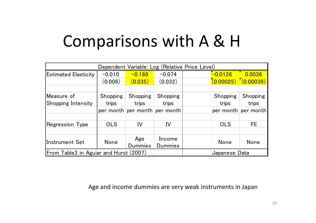# Comparisons with A & H

|                                        | Dependent Variable: Log (Relative Price Level) |          |                               |  |               |                         |  |  |  |  |
|----------------------------------------|------------------------------------------------|----------|-------------------------------|--|---------------|-------------------------|--|--|--|--|
| <b>Estimated Elasticity</b>            | $-0.010$                                       | $-0.189$ | $-0.074$                      |  | $-0.0126$     | 0.0036                  |  |  |  |  |
|                                        | (0.006)                                        | (0.035)  | (0.032)                       |  |               | $(0.00025)$ $(0.00039)$ |  |  |  |  |
|                                        |                                                |          |                               |  |               |                         |  |  |  |  |
| Measure of                             | Shopping                                       | Shopping | Shopping                      |  | Shopping      | Shopping                |  |  |  |  |
| Shopping Intensity                     | trips                                          | trips    | trips                         |  | trips         | trips                   |  |  |  |  |
|                                        |                                                |          | per month per month per month |  |               | per month per month     |  |  |  |  |
|                                        |                                                |          |                               |  |               |                         |  |  |  |  |
| <b>Regression Type</b>                 | <b>OLS</b>                                     | IV       | IV                            |  | <b>OLS</b>    | FE.                     |  |  |  |  |
|                                        |                                                |          |                               |  |               |                         |  |  |  |  |
|                                        |                                                | Age      | Income                        |  | None          |                         |  |  |  |  |
| lInstrument Set                        | None<br><b>Dummies</b>                         |          | <b>Dummies</b>                |  |               | None                    |  |  |  |  |
| From Table3 in Aguiar and Hurst (2007) |                                                |          |                               |  | Japanese Data |                         |  |  |  |  |

Age and income dummies are very weak instruments in Japan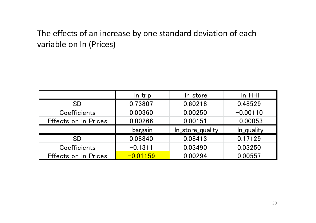#### The effects of an increase by one standard deviation of each variable on ln (Prices)

|                             | In_trip    | In_store         | In HHI     |
|-----------------------------|------------|------------------|------------|
| <b>SD</b>                   | 0.73807    | 0.60218          | 0.48529    |
| Coefficients                | 0.00360    | 0.00250          | $-0.00110$ |
| Effects on In Prices        | 0.00266    | 0.00151          | $-0.00053$ |
|                             | bargain    | In_store_quality | In_quality |
| <b>SD</b>                   | 0.08840    | 0.08413          | 0.17129    |
| Coefficients                | $-0.1311$  | 0.03490          | 0.03250    |
| <b>Effects on In Prices</b> | $-0.01159$ | 0.00294          | 0.00557    |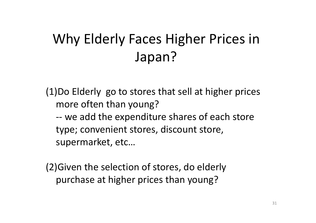## Why Elderly Faces Higher Prices in Japan?

(1)Do Elderly go to stores that sell at higher prices more often than young? ‐‐ we add the expenditure shares of each store type; convenient stores, discount store, supermarket, etc…

(2)Given the selection of stores, do elderly purchase at higher prices than young?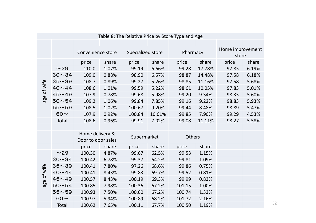|             | Table 8: The Relative Price by Store Type and Age |                                       |       |                   |        |        |          |       |                           |  |
|-------------|---------------------------------------------------|---------------------------------------|-------|-------------------|--------|--------|----------|-------|---------------------------|--|
|             |                                                   |                                       |       |                   |        |        |          |       |                           |  |
|             |                                                   | Convenience store                     |       | Specialized store |        |        | Pharmacy |       | Home improvement<br>store |  |
|             |                                                   | price                                 | share | price             | share  | price  | share    | price | share                     |  |
|             | ~29                                               | 110.0                                 | 1.07% | 99.19             | 6.66%  | 99.28  | 17.78%   | 97.85 | 6.19%                     |  |
|             | $30 - 34$                                         | 109.0                                 | 0.88% | 98.90             | 6.57%  | 98.87  | 14.48%   | 97.58 | 6.18%                     |  |
|             | $35 - 39$                                         | 108.7                                 | 0.89% | 99.27             | 5.26%  | 98.85  | 11.16%   | 97.58 | 5.68%                     |  |
| age of wife | $40 - 44$                                         | 108.6                                 | 1.01% | 99.59             | 5.22%  | 98.61  | 10.05%   | 97.83 | 5.01%                     |  |
|             | $45 - 49$                                         | 107.9                                 | 0.78% | 99.68             | 5.98%  | 99.20  | 9.34%    | 98.35 | 5.60%                     |  |
|             | $50 - 54$                                         | 109.2                                 | 1.06% | 99.84             | 7.85%  | 99.16  | 9.22%    | 98.83 | 5.93%                     |  |
|             | $55 - 59$                                         | 108.5                                 | 1.02% | 100.67            | 9.20%  | 99.44  | 8.48%    | 98.89 | 5.47%                     |  |
|             | $60\sim$                                          | 107.9                                 | 0.92% | 100.84            | 10.61% | 99.85  | 7.90%    | 99.29 | 4.53%                     |  |
|             | Total                                             | 108.6                                 | 0.96% | 99.91             | 7.02%  | 99.08  | 11.11%   | 98.27 | 5.58%                     |  |
|             |                                                   |                                       |       |                   |        |        |          |       |                           |  |
|             |                                                   | Home delivery &<br>Door to door sales |       | Supermarket       |        | Others |          |       |                           |  |
|             |                                                   | price                                 | share | price             | share  | price  | share    |       |                           |  |
|             | ~29                                               | 100.30                                | 4.87% | 99.67             | 62.5%  | 99.53  | 1.15%    |       |                           |  |
|             | $30 - 34$                                         | 100.42                                | 6.78% | 99.37             | 64.2%  | 99.81  | 1.09%    |       |                           |  |
|             | $35 - 39$                                         | 100.41                                | 7.80% | 97.26             | 68.6%  | 99.86  | 0.75%    |       |                           |  |
| age of wife | $40 - 44$                                         | 100.41                                | 8.43% | 99.83             | 69.7%  | 99.52  | 0.81%    |       |                           |  |
|             | $45 - 49$                                         | 100.57                                | 8.43% | 100.19            | 69.3%  | 99.99  | 0.83%    |       |                           |  |
|             | $50 - 54$                                         | 100.85                                | 7.98% | 100.36            | 67.2%  | 101.15 | 1.00%    |       |                           |  |
|             | $55 - 59$                                         | 100.93                                | 7.50% | 100.60            | 67.2%  | 100.74 | 1.33%    |       |                           |  |
|             | $60 \sim$                                         | 100.97                                | 5.94% | 100.89            | 68.2%  | 101.72 | 2.16%    |       |                           |  |
|             | <b>Total</b>                                      | 100.62                                | 7.65% | 100.11            | 67.7%  | 100.50 | 1.19%    |       |                           |  |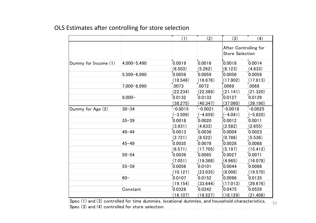#### OLS Estimates after controlling for store selection

|                                                                                                  |                 | (1)        | (2)        | (3)                                             | (4)        |
|--------------------------------------------------------------------------------------------------|-----------------|------------|------------|-------------------------------------------------|------------|
|                                                                                                  |                 |            |            | After Controlling for<br><b>Store Selection</b> |            |
| Dummy for Income (1)                                                                             | 4,000-5,490     | 0.0019     | 0.0016     | 0.0018                                          | 0.0014     |
|                                                                                                  |                 | (6.503)    | (5.262)    | (6.123)                                         | (4.833)    |
|                                                                                                  | $5,500 - 6,990$ | 0.0059     | 0.0059     | 0.0056                                          | 0.0056     |
|                                                                                                  |                 | (18.546)   | (18.676)   | (17.902)                                        | (17.813)   |
|                                                                                                  | 7,000-8,990     | .0073      | .0072      | .0069                                           | .0068      |
|                                                                                                  |                 | (22.234)   | (22.389)   | (21.141)                                        | (21.320)   |
|                                                                                                  | $9,000 -$       | 0.0132     | 0.0133     | 0.0127                                          | 0.0129     |
|                                                                                                  |                 | (38.275)   | (40.347)   | (37.060)                                        | (39.190)   |
| Dummy for Age (2)                                                                                | $30 - 34$       | $-0.0015$  | $-0.0021$  | $-0.0018$                                       | $-0.0025$  |
|                                                                                                  |                 | $(-3.509)$ | $(-4.859)$ | $(-4.041)$                                      | $(-5.820)$ |
|                                                                                                  | $35 - 39$       | 0.0018     | 0.0020     | 0.0012                                          | 0.0011     |
|                                                                                                  |                 | (3.931)    | (4.833)    | (2.582)                                         | (2.655)    |
|                                                                                                  | $40 - 44$       | 0.0013     | 0.0036     | 0.0004                                          | 0.0023     |
|                                                                                                  |                 | (2.721)    | (8.522)    | (0.786)                                         | (5.536)    |
|                                                                                                  | $45 - 49$       | 0.0035     | 0.0078     | 0.0028                                          | 0.0068     |
|                                                                                                  |                 | (6.571)    | (17.705)   | (5.197)                                         | (15.412)   |
|                                                                                                  | $50 - 54$       | 0.0039     | 0.0085     | 0.0027                                          | 0.0071     |
|                                                                                                  |                 | (7.051)    | (19.368)   | (4.965)                                         | (16.078)   |
|                                                                                                  | $55 - 59$       | 0.0056     | 0.0101     | 0.0044                                          | 0.0086     |
|                                                                                                  |                 | (10.121)   | (23.035)   | (8.006)                                         | (19.570)   |
|                                                                                                  | $60 -$          | 0.0107     | 0.0152     | 0.0096                                          | 0.0135     |
|                                                                                                  |                 | (19.154)   | (33.644)   | (17.013)                                        | (29.676)   |
|                                                                                                  | Constant        | 0.0326     | 0.0342     | 0.0475                                          | 0.0529     |
|                                                                                                  |                 | (16.107)   | (18.527)   | (18.129)                                        | (21.406)   |
| Spec (1) and (3) controlled for time dummies, locational dummies, and household characteristics. |                 |            |            |                                                 |            |
| Spec (3) and (4) controlled for store selection.                                                 |                 |            |            |                                                 |            |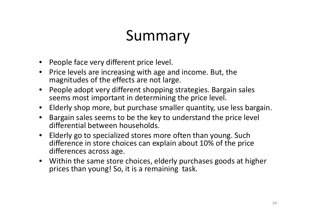## Summary

- People face very different price level.
- Price levels are increasing with age and income. But, the magnitudes of the effects are not large.
- People adopt very different shopping strategies. Bargain sales seems most important in determining the price level.
- Elderly shop more, but purchase smaller quantity, use less bargain.
- $\bullet$  Bargain sales seems to be the key to understand the price level differential between households.
- $\bullet$  Elderly go to specialized stores more often than young. Such difference in store choices can explain about 10% of the price differences across age.
- Within the same store choices, elderly purchases goods at higher prices than young! So, it is <sup>a</sup> remaining task.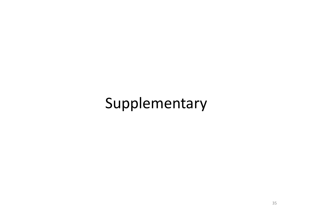#### Supplementary